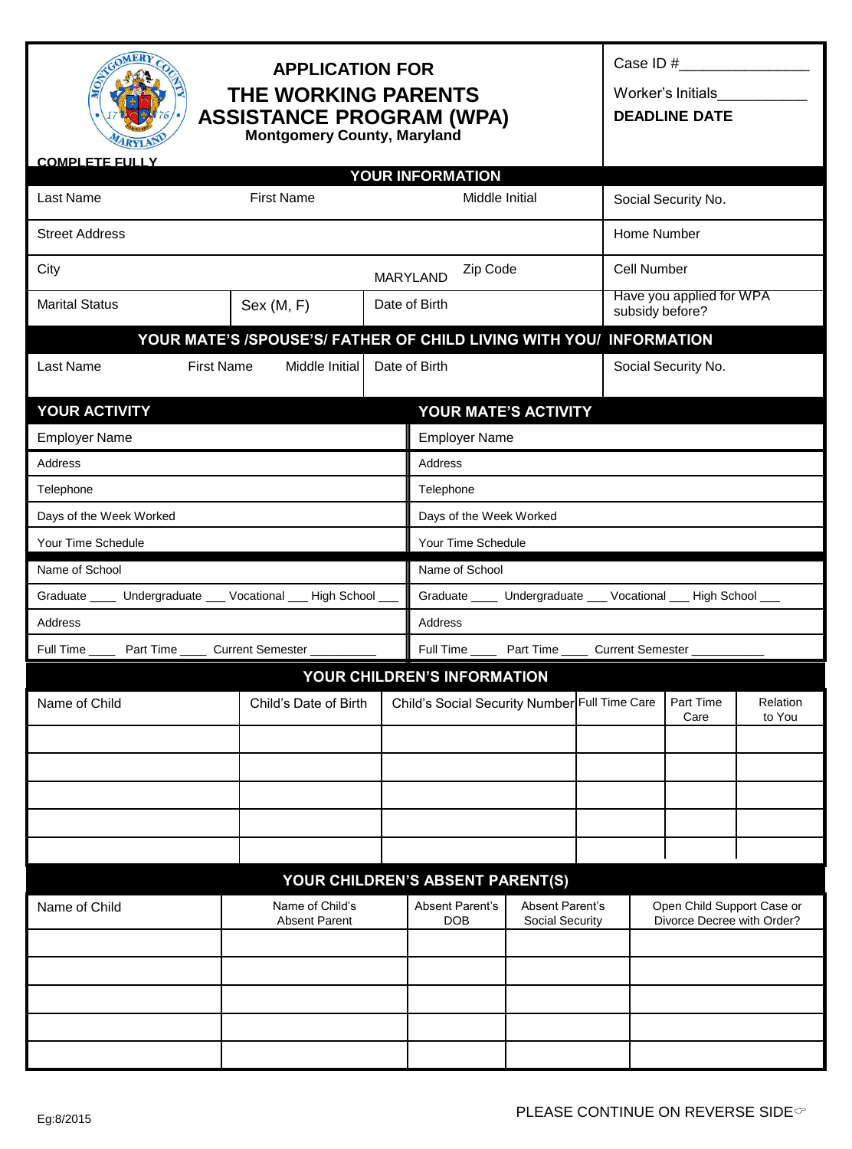| <b>MER</b><br><b>APPLICATION FOR</b><br><b>THE WORKING PARENTS</b><br><b>ASSISTANCE PROGRAM (WPA)</b><br><b>Montgomery County, Maryland</b><br><b>COMPLETE FULLY</b> |                                                                     |  |                                                                 |                                           |  | Case ID $#$<br>Worker's Initials<br><b>DEADLINE DATE</b> |                                                          |                    |  |
|----------------------------------------------------------------------------------------------------------------------------------------------------------------------|---------------------------------------------------------------------|--|-----------------------------------------------------------------|-------------------------------------------|--|----------------------------------------------------------|----------------------------------------------------------|--------------------|--|
|                                                                                                                                                                      |                                                                     |  | YOUR INFORMATION                                                |                                           |  |                                                          |                                                          |                    |  |
| Last Name                                                                                                                                                            | <b>First Name</b>                                                   |  | Middle Initial                                                  |                                           |  |                                                          | Social Security No.                                      |                    |  |
| <b>Street Address</b>                                                                                                                                                |                                                                     |  |                                                                 |                                           |  |                                                          | Home Number                                              |                    |  |
| City                                                                                                                                                                 |                                                                     |  | Zip Code<br><b>MARYLAND</b>                                     |                                           |  | Cell Number                                              |                                                          |                    |  |
| <b>Marital Status</b>                                                                                                                                                | Sex (M, F)                                                          |  | Date of Birth                                                   |                                           |  |                                                          | Have you applied for WPA<br>subsidy before?              |                    |  |
|                                                                                                                                                                      | YOUR MATE'S /SPOUSE'S/ FATHER OF CHILD LIVING WITH YOU/ INFORMATION |  |                                                                 |                                           |  |                                                          |                                                          |                    |  |
| Last Name<br><b>First Name</b>                                                                                                                                       | Middle Initial                                                      |  | Date of Birth                                                   |                                           |  |                                                          | Social Security No.                                      |                    |  |
| YOUR ACTIVITY                                                                                                                                                        |                                                                     |  | YOUR MATE'S ACTIVITY                                            |                                           |  |                                                          |                                                          |                    |  |
| <b>Employer Name</b>                                                                                                                                                 |                                                                     |  | <b>Employer Name</b>                                            |                                           |  |                                                          |                                                          |                    |  |
| <b>Address</b>                                                                                                                                                       |                                                                     |  |                                                                 | <b>Address</b>                            |  |                                                          |                                                          |                    |  |
| Telephone                                                                                                                                                            |                                                                     |  | Telephone                                                       |                                           |  |                                                          |                                                          |                    |  |
| Days of the Week Worked                                                                                                                                              |                                                                     |  | Days of the Week Worked                                         |                                           |  |                                                          |                                                          |                    |  |
| Your Time Schedule<br>Your Time Schedule                                                                                                                             |                                                                     |  |                                                                 |                                           |  |                                                          |                                                          |                    |  |
| Name of School                                                                                                                                                       |                                                                     |  | Name of School                                                  |                                           |  |                                                          |                                                          |                    |  |
| Graduate _____ Undergraduate ___ Vocational ___ High School ___                                                                                                      |                                                                     |  | Graduate _____ Undergraduate ___ Vocational ___ High School ___ |                                           |  |                                                          |                                                          |                    |  |
| Address                                                                                                                                                              |                                                                     |  | Address                                                         |                                           |  |                                                          |                                                          |                    |  |
| Full Time ______ Part Time _____ Current Semester __<br>Full Time _______ Part Time ______ Current Semester ____________________________                             |                                                                     |  |                                                                 |                                           |  |                                                          |                                                          |                    |  |
| YOUR CHILDREN'S INFORMATION                                                                                                                                          |                                                                     |  |                                                                 |                                           |  |                                                          |                                                          |                    |  |
| Name of Child                                                                                                                                                        | Child's Date of Birth                                               |  | Child's Social Security Number Full Time Care   Part Time       |                                           |  |                                                          | Care                                                     | Relation<br>to You |  |
|                                                                                                                                                                      |                                                                     |  |                                                                 |                                           |  |                                                          |                                                          |                    |  |
|                                                                                                                                                                      |                                                                     |  |                                                                 |                                           |  |                                                          |                                                          |                    |  |
|                                                                                                                                                                      |                                                                     |  |                                                                 |                                           |  |                                                          |                                                          |                    |  |
|                                                                                                                                                                      |                                                                     |  |                                                                 |                                           |  |                                                          |                                                          |                    |  |
|                                                                                                                                                                      |                                                                     |  |                                                                 |                                           |  |                                                          |                                                          |                    |  |
|                                                                                                                                                                      |                                                                     |  | YOUR CHILDREN'S ABSENT PARENT(S)                                |                                           |  |                                                          |                                                          |                    |  |
| Name of Child                                                                                                                                                        | Name of Child's<br><b>Absent Parent</b>                             |  | Absent Parent's<br><b>DOB</b>                                   | <b>Absent Parent's</b><br>Social Security |  |                                                          | Open Child Support Case or<br>Divorce Decree with Order? |                    |  |
|                                                                                                                                                                      |                                                                     |  |                                                                 |                                           |  |                                                          |                                                          |                    |  |
|                                                                                                                                                                      |                                                                     |  |                                                                 |                                           |  |                                                          |                                                          |                    |  |
|                                                                                                                                                                      |                                                                     |  |                                                                 |                                           |  |                                                          |                                                          |                    |  |
|                                                                                                                                                                      |                                                                     |  |                                                                 |                                           |  |                                                          |                                                          |                    |  |
|                                                                                                                                                                      |                                                                     |  |                                                                 |                                           |  |                                                          |                                                          |                    |  |
|                                                                                                                                                                      |                                                                     |  |                                                                 |                                           |  |                                                          |                                                          |                    |  |